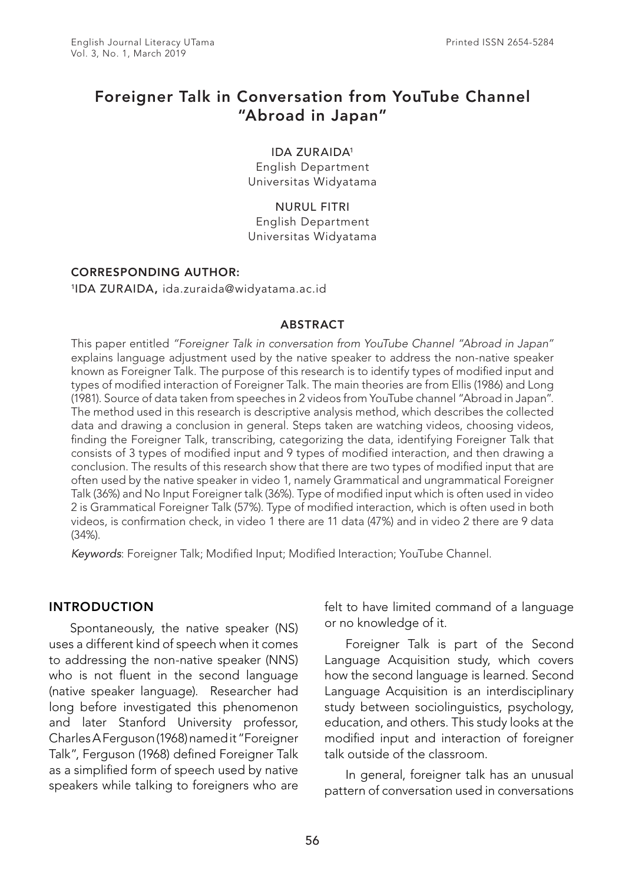# Foreigner Talk in Conversation from YouTube Channel "Abroad in Japan"

IDA ZURAIDA1

English Department Universitas Widyatama

NURUL FITRI English Department Universitas Widyatama

## CORRESPONDING AUTHOR:

1IDA ZURAIDA, ida.zuraida@widyatama.ac.id

#### ABSTRACT

This paper entitled *"Foreigner Talk in conversation from YouTube Channel "Abroad in Japan"*  explains language adjustment used by the native speaker to address the non-native speaker known as Foreigner Talk. The purpose of this research is to identify types of modified input and types of modified interaction of Foreigner Talk. The main theories are from Ellis (1986) and Long (1981). Source of data taken from speeches in 2 videos from YouTube channel "Abroad in Japan". The method used in this research is descriptive analysis method, which describes the collected data and drawing a conclusion in general. Steps taken are watching videos, choosing videos, finding the Foreigner Talk, transcribing, categorizing the data, identifying Foreigner Talk that consists of 3 types of modified input and 9 types of modified interaction, and then drawing a conclusion. The results of this research show that there are two types of modified input that are often used by the native speaker in video 1, namely Grammatical and ungrammatical Foreigner Talk (36%) and No Input Foreigner talk (36%). Type of modified input which is often used in video 2 is Grammatical Foreigner Talk (57%). Type of modified interaction, which is often used in both videos, is confirmation check, in video 1 there are 11 data (47%) and in video 2 there are 9 data (34%).

*Keywords*: Foreigner Talk; Modified Input; Modified Interaction; YouTube Channel.

## INTRODUCTION

Spontaneously, the native speaker (NS) uses a different kind of speech when it comes to addressing the non-native speaker (NNS) who is not fluent in the second language (native speaker language). Researcher had long before investigated this phenomenon and later Stanford University professor, Charles A Ferguson (1968) named it "Foreigner Talk", Ferguson (1968) defined Foreigner Talk as a simplified form of speech used by native speakers while talking to foreigners who are felt to have limited command of a language or no knowledge of it.

Foreigner Talk is part of the Second Language Acquisition study, which covers how the second language is learned. Second Language Acquisition is an interdisciplinary study between sociolinguistics, psychology, education, and others. This study looks at the modified input and interaction of foreigner talk outside of the classroom.

In general, foreigner talk has an unusual pattern of conversation used in conversations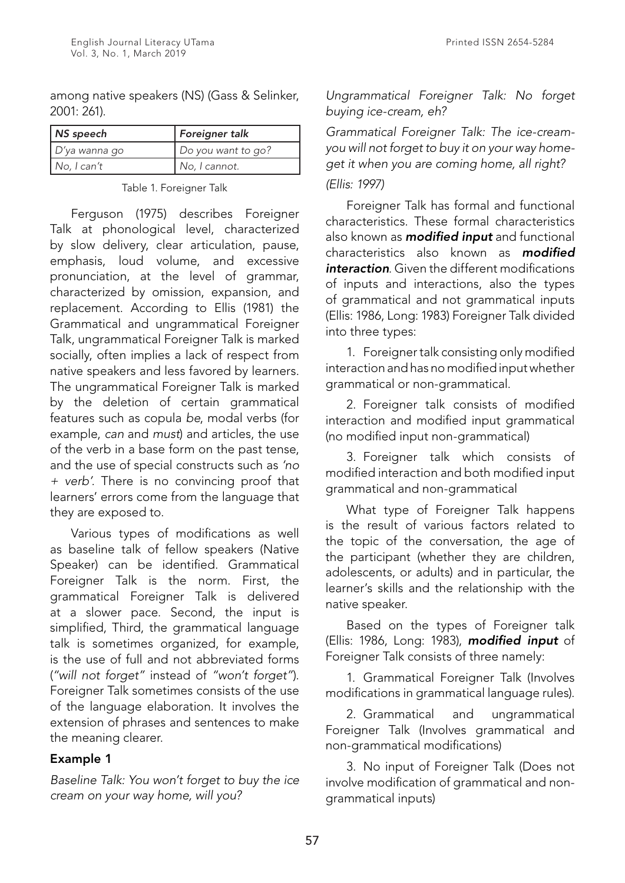among native speakers (NS) (Gass & Selinker, 2001: 261).

| NS speech        | Foreigner talk     |  |  |  |  |  |  |  |
|------------------|--------------------|--|--|--|--|--|--|--|
| $D'$ ya wanna go | Do you want to go? |  |  |  |  |  |  |  |
| No, I can't      | No, I cannot.      |  |  |  |  |  |  |  |

Table 1. Foreigner Talk

Ferguson (1975) describes Foreigner Talk at phonological level, characterized by slow delivery, clear articulation, pause, emphasis, loud volume, and excessive pronunciation, at the level of grammar, characterized by omission, expansion, and replacement. According to Ellis (1981) the Grammatical and ungrammatical Foreigner Talk, ungrammatical Foreigner Talk is marked socially, often implies a lack of respect from native speakers and less favored by learners. The ungrammatical Foreigner Talk is marked by the deletion of certain grammatical features such as copula *be*, modal verbs (for example, *can* and *must*) and articles, the use of the verb in a base form on the past tense, and the use of special constructs such as *'no + verb'.* There is no convincing proof that learners' errors come from the language that they are exposed to.

Various types of modifications as well as baseline talk of fellow speakers (Native Speaker) can be identified. Grammatical Foreigner Talk is the norm. First, the grammatical Foreigner Talk is delivered at a slower pace. Second, the input is simplified, Third, the grammatical language talk is sometimes organized, for example, is the use of full and not abbreviated forms (*"will not forget"* instead of *"won't forget"*). Foreigner Talk sometimes consists of the use of the language elaboration. It involves the extension of phrases and sentences to make the meaning clearer.

## Example 1

*Baseline Talk: You won't forget to buy the ice cream on your way home, will you?*

*Ungrammatical Foreigner Talk: No forget buying ice-cream, eh?*

*Grammatical Foreigner Talk: The ice-creamyou will not forget to buy it on your way homeget it when you are coming home, all right? (Ellis: 1997)*

Foreigner Talk has formal and functional characteristics. These formal characteristics also known as *modified input* and functional characteristics also known as *modified interaction*. Given the different modifications of inputs and interactions, also the types of grammatical and not grammatical inputs (Ellis: 1986, Long: 1983) Foreigner Talk divided into three types:

1. Foreigner talk consisting only modified interaction and has no modified input whether grammatical or non-grammatical.

2. Foreigner talk consists of modified interaction and modified input grammatical (no modified input non-grammatical)

3. Foreigner talk which consists of modified interaction and both modified input grammatical and non-grammatical

What type of Foreigner Talk happens is the result of various factors related to the topic of the conversation, the age of the participant (whether they are children, adolescents, or adults) and in particular, the learner's skills and the relationship with the native speaker.

Based on the types of Foreigner talk (Ellis: 1986, Long: 1983), *modified input* of Foreigner Talk consists of three namely:

1. Grammatical Foreigner Talk (Involves modifications in grammatical language rules).

2. Grammatical and ungrammatical Foreigner Talk (Involves grammatical and non-grammatical modifications)

3. No input of Foreigner Talk (Does not involve modification of grammatical and nongrammatical inputs)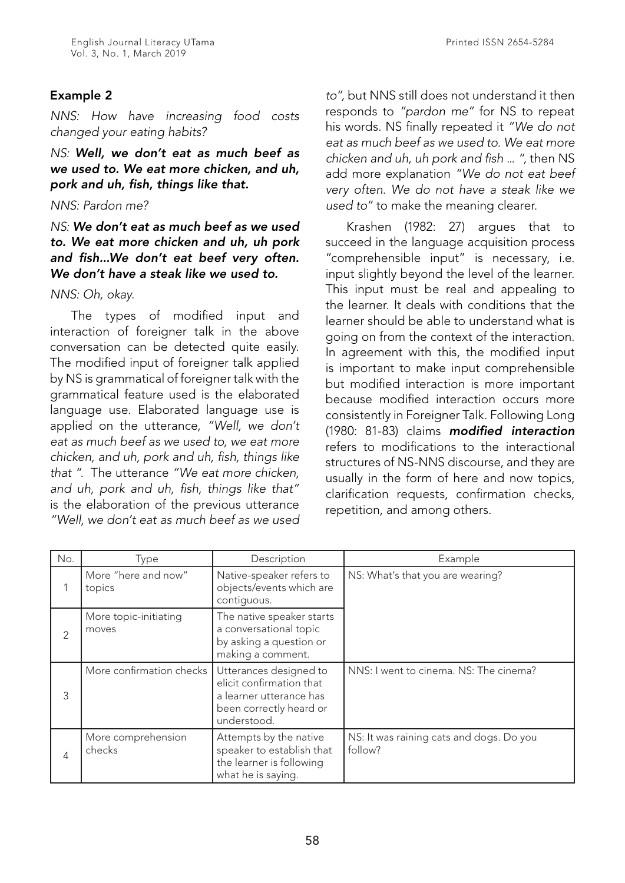## Example 2

*NNS: How have increasing food costs changed your eating habits?*

*NS: Well, we don't eat as much beef as we used to. We eat more chicken, and uh, pork and uh, fish, things like that.*

## *NNS: Pardon me?*

## *NS: We don't eat as much beef as we used to. We eat more chicken and uh, uh pork and fish...We don't eat beef very often. We don't have a steak like we used to.*

#### *NNS: Oh, okay.*

The types of modified input and interaction of foreigner talk in the above conversation can be detected quite easily. The modified input of foreigner talk applied by NS is grammatical of foreigner talk with the grammatical feature used is the elaborated language use. Elaborated language use is applied on the utterance, *"Well, we don't eat as much beef as we used to, we eat more chicken, and uh, pork and uh, fish, things like that "*. The utterance *"We eat more chicken, and uh, pork and uh, fish, things like that"*  is the elaboration of the previous utterance *"Well, we don't eat as much beef as we used*  *to",* but NNS still does not understand it then responds to *"pardon me"* for NS to repeat his words. NS finally repeated it *"We do not eat as much beef as we used to. We eat more chicken and uh, uh pork and fish ... ",* then NS add more explanation *"We do not eat beef very often. We do not have a steak like we used to"* to make the meaning clearer.

Krashen (1982: 27) argues that to succeed in the language acquisition process "comprehensible input" is necessary, i.e. input slightly beyond the level of the learner. This input must be real and appealing to the learner. It deals with conditions that the learner should be able to understand what is going on from the context of the interaction. In agreement with this, the modified input is important to make input comprehensible but modified interaction is more important because modified interaction occurs more consistently in Foreigner Talk. Following Long (1980: 81-83) claims *modified interaction*  refers to modifications to the interactional structures of NS-NNS discourse, and they are usually in the form of here and now topics, clarification requests, confirmation checks, repetition, and among others.

| No. | Type                           | Description                                                                                                             | Example                                             |
|-----|--------------------------------|-------------------------------------------------------------------------------------------------------------------------|-----------------------------------------------------|
|     | More "here and now"<br>topics  | Native-speaker refers to<br>objects/events which are<br>contiguous.                                                     | NS: What's that you are wearing?                    |
| 2   | More topic-initiating<br>moves | The native speaker starts<br>a conversational topic<br>by asking a question or<br>making a comment.                     |                                                     |
| 3   | More confirmation checks       | Utterances designed to<br>elicit confirmation that<br>a learner utterance has<br>been correctly heard or<br>understood. | NNS: I went to cinema. NS: The cinema?              |
| 4   | More comprehension<br>checks   | Attempts by the native<br>speaker to establish that<br>the learner is following<br>what he is saying.                   | NS: It was raining cats and dogs. Do you<br>follow? |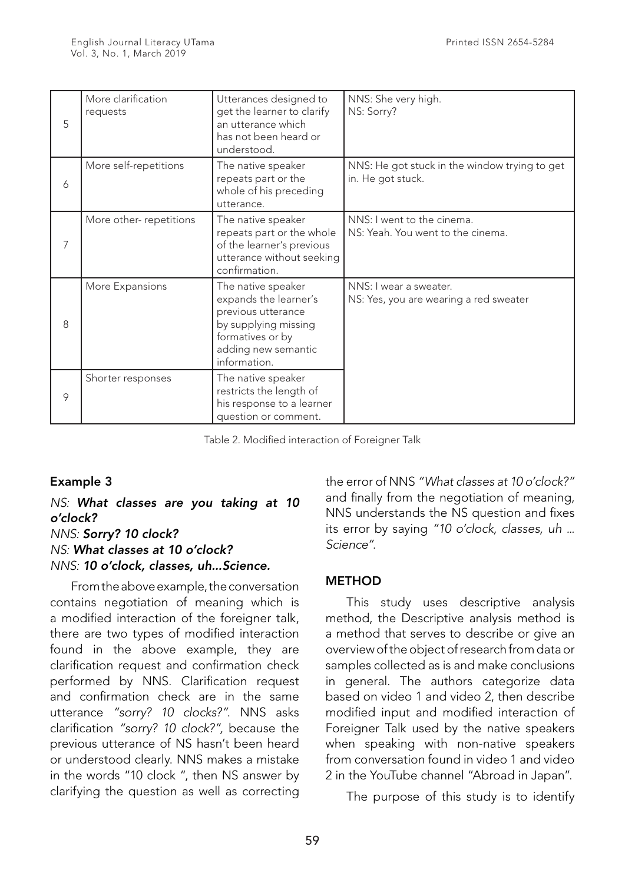| 5 | More clarification<br>requests | Utterances designed to<br>get the learner to clarify<br>an utterance which<br>has not been heard or<br>understood.                                   | NNS: She very high.<br>NS: Sorry?                                  |
|---|--------------------------------|------------------------------------------------------------------------------------------------------------------------------------------------------|--------------------------------------------------------------------|
| 6 | More self-repetitions          | The native speaker<br>repeats part or the<br>whole of his preceding<br>utterance.                                                                    | NNS: He got stuck in the window trying to get<br>in. He got stuck. |
| 7 | More other-repetitions         | The native speaker<br>repeats part or the whole<br>of the learner's previous<br>utterance without seeking<br>confirmation.                           | NNS: I went to the cinema.<br>NS: Yeah. You went to the cinema.    |
| 8 | More Expansions                | The native speaker<br>expands the learner's<br>previous utterance<br>by supplying missing<br>formatives or by<br>adding new semantic<br>information. | NNS: I wear a sweater.<br>NS: Yes, you are wearing a red sweater   |
| 9 | Shorter responses              | The native speaker<br>restricts the length of<br>his response to a learner<br>question or comment.                                                   |                                                                    |

Table 2. Modified interaction of Foreigner Talk

## Example 3

*NS: What classes are you taking at 10 o'clock? NNS: Sorry? 10 clock? NS: What classes at 10 o'clock? NNS: 10 o'clock, classes, uh...Science.*

From the above example, the conversation contains negotiation of meaning which is a modified interaction of the foreigner talk, there are two types of modified interaction found in the above example, they are clarification request and confirmation check performed by NNS. Clarification request and confirmation check are in the same utterance *"sorry? 10 clocks?"*. NNS asks clarification *"sorry? 10 clock?",* because the previous utterance of NS hasn't been heard or understood clearly. NNS makes a mistake in the words "10 clock ", then NS answer by clarifying the question as well as correcting the error of NNS *"What classes at 10 o'clock?"*  and finally from the negotiation of meaning, NNS understands the NS question and fixes its error by saying *"10 o'clock, classes, uh ... Science"*.

## **METHOD**

This study uses descriptive analysis method, the Descriptive analysis method is a method that serves to describe or give an overview of the object of research from data or samples collected as is and make conclusions in general. The authors categorize data based on video 1 and video 2, then describe modified input and modified interaction of Foreigner Talk used by the native speakers when speaking with non-native speakers from conversation found in video 1 and video 2 in the YouTube channel "Abroad in Japan".

The purpose of this study is to identify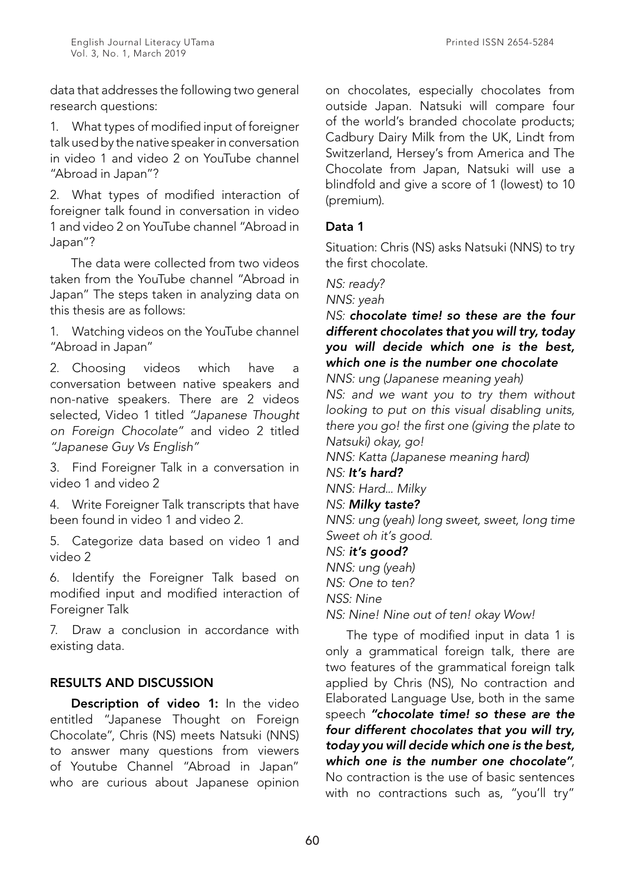data that addresses the following two general research questions:

1. What types of modified input of foreigner talk used by the native speaker in conversation in video 1 and video 2 on YouTube channel "Abroad in Japan"?

2. What types of modified interaction of foreigner talk found in conversation in video 1 and video 2 on YouTube channel "Abroad in Japan"?

The data were collected from two videos taken from the YouTube channel "Abroad in Japan" The steps taken in analyzing data on this thesis are as follows:

1. Watching videos on the YouTube channel "Abroad in Japan"

2. Choosing videos which have a conversation between native speakers and non-native speakers. There are 2 videos selected, Video 1 titled *"Japanese Thought on Foreign Chocolate"* and video 2 titled *"Japanese Guy Vs English"*

3. Find Foreigner Talk in a conversation in video 1 and video 2

4. Write Foreigner Talk transcripts that have been found in video 1 and video 2.

5. Categorize data based on video 1 and video 2

6. Identify the Foreigner Talk based on modified input and modified interaction of Foreigner Talk

7. Draw a conclusion in accordance with existing data.

## RESULTS AND DISCUSSION

Description of video 1: In the video entitled "Japanese Thought on Foreign Chocolate", Chris (NS) meets Natsuki (NNS) to answer many questions from viewers of Youtube Channel "Abroad in Japan" who are curious about Japanese opinion on chocolates, especially chocolates from outside Japan. Natsuki will compare four of the world's branded chocolate products; Cadbury Dairy Milk from the UK, Lindt from Switzerland, Hersey's from America and The Chocolate from Japan, Natsuki will use a blindfold and give a score of 1 (lowest) to 10 (premium).

## Data 1

Situation: Chris (NS) asks Natsuki (NNS) to try the first chocolate.

*NS: ready?*

*NNS: yeah*

## *NS: chocolate time! so these are the four different chocolates that you will try, today you will decide which one is the best, which one is the number one chocolate*

*NNS: ung (Japanese meaning yeah) NS: and we want you to try them without looking to put on this visual disabling units, there you go! the first one (giving the plate to Natsuki) okay, go!*

*NNS: Katta (Japanese meaning hard)*

*NS: It's hard?*

*NNS: Hard... Milky*

## *NS: Milky taste?*

*NNS: ung (yeah) long sweet, sweet, long time Sweet oh it's good.*

#### *NS: it's good?*

*NNS: ung (yeah) NS: One to ten?*

*NSS: Nine*

*NS: Nine! Nine out of ten! okay Wow!*

The type of modified input in data 1 is only a grammatical foreign talk, there are two features of the grammatical foreign talk applied by Chris (NS), No contraction and Elaborated Language Use, both in the same speech *"chocolate time! so these are the four different chocolates that you will try, today you will decide which one is the best, which one is the number one chocolate"*, No contraction is the use of basic sentences with no contractions such as, "you'll try"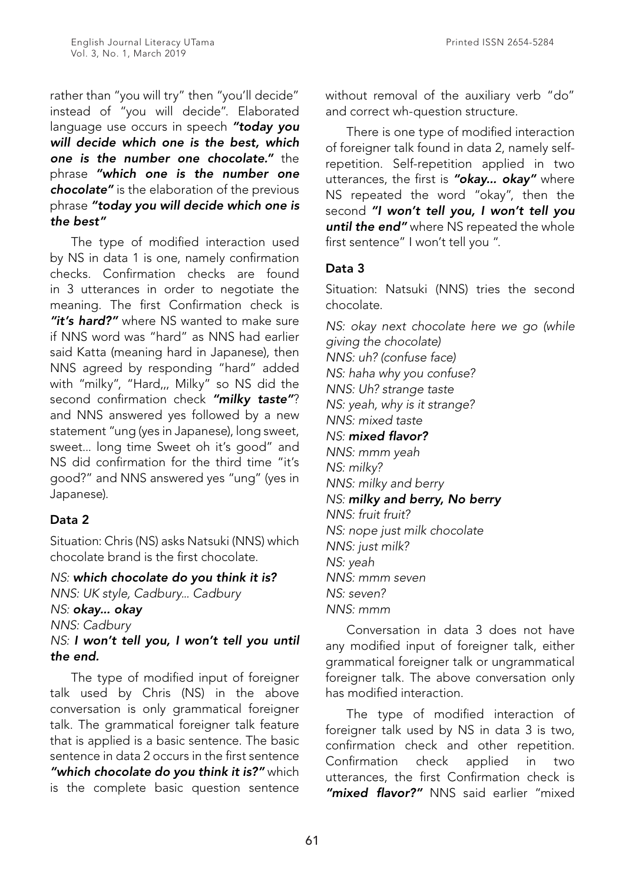rather than "you will try" then "you'll decide" instead of "you will decide". Elaborated language use occurs in speech *"today you will decide which one is the best, which one is the number one chocolate."* the phrase *"which one is the number one chocolate"* is the elaboration of the previous phrase *"today you will decide which one is the best"*

The type of modified interaction used by NS in data 1 is one, namely confirmation checks. Confirmation checks are found in 3 utterances in order to negotiate the meaning. The first Confirmation check is *"it's hard?"* where NS wanted to make sure if NNS word was "hard" as NNS had earlier said Katta (meaning hard in Japanese), then NNS agreed by responding "hard" added with "milky", "Hard,,, Milky" so NS did the second confirmation check *"milky taste"*? and NNS answered yes followed by a new statement "ung (yes in Japanese), long sweet, sweet... long time Sweet oh it's good" and NS did confirmation for the third time "it's good?" and NNS answered yes "ung" (yes in Japanese).

## Data 2

Situation: Chris (NS) asks Natsuki (NNS) which chocolate brand is the first chocolate.

*NS: which chocolate do you think it is? NNS: UK style, Cadbury... Cadbury NS: okay... okay NNS: Cadbury*

*NS: I won't tell you, I won't tell you until the end.*

The type of modified input of foreigner talk used by Chris (NS) in the above conversation is only grammatical foreigner talk. The grammatical foreigner talk feature that is applied is a basic sentence. The basic sentence in data 2 occurs in the first sentence *"which chocolate do you think it is?"* which is the complete basic question sentence

without removal of the auxiliary verb "do" and correct wh-question structure.

There is one type of modified interaction of foreigner talk found in data 2, namely selfrepetition. Self-repetition applied in two utterances, the first is *"okay... okay"* where NS repeated the word "okay", then the second *"I won't tell you, I won't tell you until the end"* where NS repeated the whole first sentence" I won't tell you ".

# Data 3

Situation: Natsuki (NNS) tries the second chocolate.

*NS: okay next chocolate here we go (while giving the chocolate) NNS: uh? (confuse face) NS: haha why you confuse? NNS: Uh? strange taste NS: yeah, why is it strange? NNS: mixed taste NS: mixed flavor? NNS: mmm yeah NS: milky? NNS: milky and berry NS: milky and berry, No berry NNS: fruit fruit? NS: nope just milk chocolate NNS: just milk? NS: yeah NNS: mmm seven NS: seven? NNS: mmm*

Conversation in data 3 does not have any modified input of foreigner talk, either grammatical foreigner talk or ungrammatical foreigner talk. The above conversation only has modified interaction.

The type of modified interaction of foreigner talk used by NS in data 3 is two, confirmation check and other repetition. Confirmation check applied in two utterances, the first Confirmation check is *"mixed flavor?"* NNS said earlier "mixed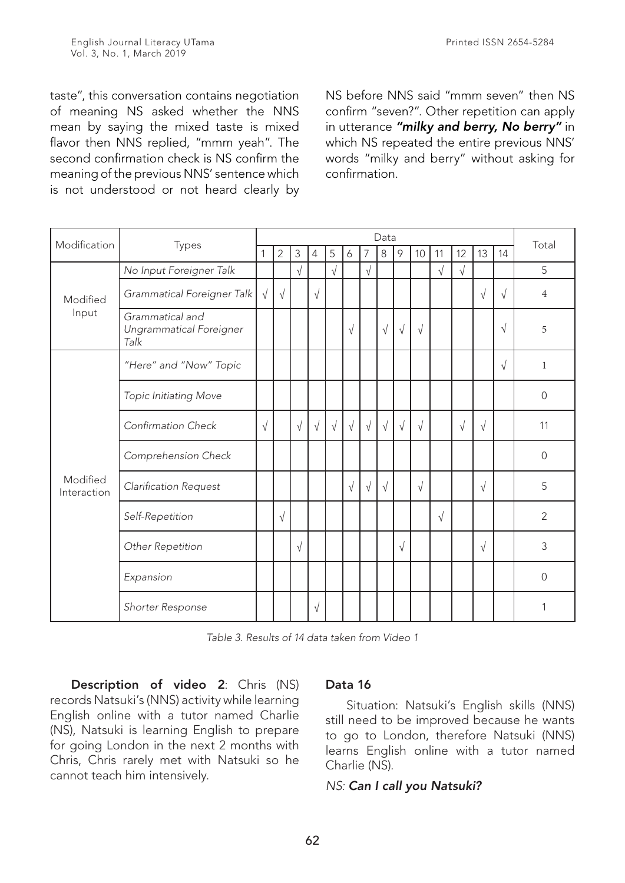taste", this conversation contains negotiation of meaning NS asked whether the NNS mean by saying the mixed taste is mixed flavor then NNS replied, "mmm yeah". The second confirmation check is NS confirm the meaning of the previous NNS' sentence which is not understood or not heard clearly by NS before NNS said "mmm seven" then NS confirm "seven?". Other repetition can apply in utterance *"milky and berry, No berry"* in which NS repeated the entire previous NNS' words "milky and berry" without asking for confirmation.

| Modification            | Types                                              |            | Data           |            |           |            |            |            |            |            |            |            |            |            |           |                |
|-------------------------|----------------------------------------------------|------------|----------------|------------|-----------|------------|------------|------------|------------|------------|------------|------------|------------|------------|-----------|----------------|
|                         |                                                    |            | $\overline{2}$ | 3          | 4         | 5          | 6          | 7          | 8          | $\circ$    | 10         | 11         | 12         | 13         | 14        | Total          |
|                         | No Input Foreigner Talk                            |            |                | $\sqrt{}$  |           | $\sqrt{ }$ |            | $\sqrt{ }$ |            |            |            | $\sqrt{ }$ | $\sqrt{ }$ |            |           | 5              |
| Modified                | Grammatical Foreigner Talk                         |            | $\sqrt{ }$     |            | $\sqrt{}$ |            |            |            |            |            |            |            |            | $\sqrt{ }$ | $\sqrt{}$ | $\overline{4}$ |
| Input                   | Grammatical and<br>Ungrammatical Foreigner<br>Talk |            |                |            |           |            | $\sqrt{ }$ |            | $\sqrt{ }$ | $\sqrt{ }$ | $\sqrt{ }$ |            |            |            | $\sqrt{}$ | 5              |
|                         | "Here" and "Now" Topic                             |            |                |            |           |            |            |            |            |            |            |            |            |            | $\sqrt{}$ | $\mathbf{1}$   |
|                         | Topic Initiating Move                              |            |                |            |           |            |            |            |            |            |            |            |            |            |           | $\mathbf 0$    |
|                         | Confirmation Check                                 | $\sqrt{ }$ |                | $\sqrt{ }$ | $\sqrt{}$ | $\sqrt{ }$ | $\sqrt{}$  | $\sqrt{ }$ | $\sqrt{ }$ | $\sqrt{ }$ | $\sqrt{ }$ |            | $\sqrt{ }$ | $\sqrt{ }$ |           | 11             |
|                         | Comprehension Check                                |            |                |            |           |            |            |            |            |            |            |            |            |            |           | $\overline{0}$ |
| Modified<br>Interaction | Clarification Request                              |            |                |            |           |            | $\sqrt{ }$ | $\sqrt{ }$ | $\sqrt{ }$ |            | $\sqrt{ }$ |            |            | $\sqrt{ }$ |           | 5              |
|                         | Self-Repetition                                    |            | $\sqrt{ }$     |            |           |            |            |            |            |            |            | $\sqrt{ }$ |            |            |           | $\overline{2}$ |
|                         | Other Repetition                                   |            |                | $\sqrt{}$  |           |            |            |            |            | $\sqrt{}$  |            |            |            | $\sqrt{ }$ |           | 3              |
|                         | Expansion                                          |            |                |            |           |            |            |            |            |            |            |            |            |            |           | $\Omega$       |
|                         | Shorter Response                                   |            |                |            | $\sqrt{}$ |            |            |            |            |            |            |            |            |            |           | 1              |

*Table 3. Results of 14 data taken from Video 1*

Description of video 2: Chris (NS) records Natsuki's (NNS) activity while learning English online with a tutor named Charlie (NS), Natsuki is learning English to prepare for going London in the next 2 months with Chris, Chris rarely met with Natsuki so he cannot teach him intensively.

## Data 16

Situation: Natsuki's English skills (NNS) still need to be improved because he wants to go to London, therefore Natsuki (NNS) learns English online with a tutor named Charlie (NS).

#### *NS: Can I call you Natsuki?*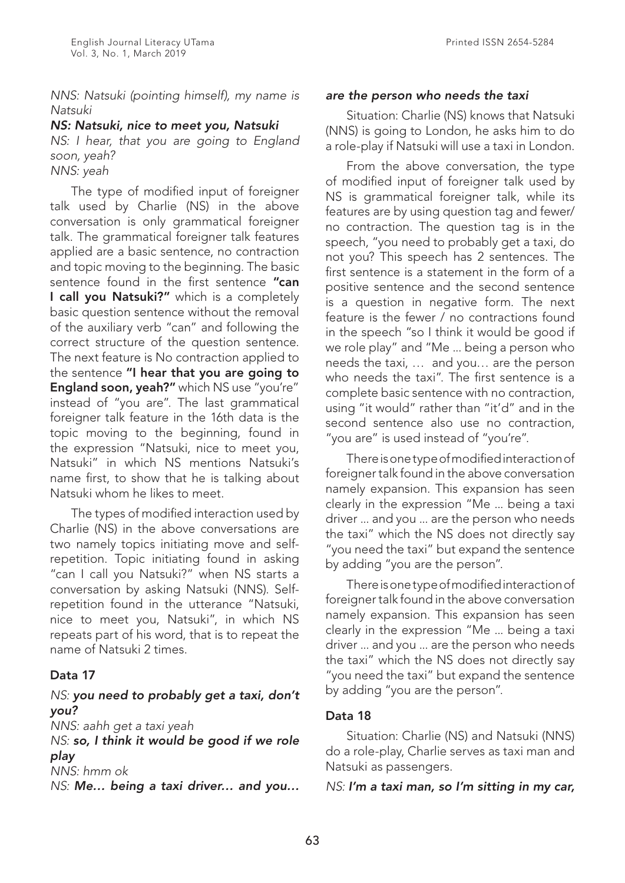Printed ISSN 2654-5284

*NNS: Natsuki (pointing himself), my name is Natsuki*

#### *NS: Natsuki, nice to meet you, Natsuki*

*NS: I hear, that you are going to England soon, yeah?*

*NNS: yeah*

The type of modified input of foreigner talk used by Charlie (NS) in the above conversation is only grammatical foreigner talk. The grammatical foreigner talk features applied are a basic sentence, no contraction and topic moving to the beginning. The basic sentence found in the first sentence "can I call you Natsuki?" which is a completely basic question sentence without the removal of the auxiliary verb "can" and following the correct structure of the question sentence. The next feature is No contraction applied to the sentence "I hear that you are going to England soon, yeah?" which NS use "you're" instead of "you are". The last grammatical foreigner talk feature in the 16th data is the topic moving to the beginning, found in the expression "Natsuki, nice to meet you, Natsuki" in which NS mentions Natsuki's name first, to show that he is talking about Natsuki whom he likes to meet.

The types of modified interaction used by Charlie (NS) in the above conversations are two namely topics initiating move and selfrepetition. Topic initiating found in asking "can I call you Natsuki?" when NS starts a conversation by asking Natsuki (NNS). Selfrepetition found in the utterance "Natsuki, nice to meet you, Natsuki", in which NS repeats part of his word, that is to repeat the name of Natsuki 2 times.

## Data 17

## *NS: you need to probably get a taxi, don't you?*

*NNS: aahh get a taxi yeah*

*NS: so, I think it would be good if we role play NNS: hmm ok*

*NS: Me… being a taxi driver… and you…* 

#### *are the person who needs the taxi*

Situation: Charlie (NS) knows that Natsuki (NNS) is going to London, he asks him to do a role-play if Natsuki will use a taxi in London.

From the above conversation, the type of modified input of foreigner talk used by NS is grammatical foreigner talk, while its features are by using question tag and fewer/ no contraction. The question tag is in the speech, "you need to probably get a taxi, do not you? This speech has 2 sentences. The first sentence is a statement in the form of a positive sentence and the second sentence is a question in negative form. The next feature is the fewer / no contractions found in the speech "so I think it would be good if we role play" and "Me ... being a person who needs the taxi, … and you… are the person who needs the taxi". The first sentence is a complete basic sentence with no contraction, using "it would" rather than "it'd" and in the second sentence also use no contraction, "you are" is used instead of "you're".

There is one type of modified interaction of foreigner talk found in the above conversation namely expansion. This expansion has seen clearly in the expression "Me ... being a taxi driver ... and you ... are the person who needs the taxi" which the NS does not directly say "you need the taxi" but expand the sentence by adding "you are the person".

There is one type of modified interaction of foreigner talk found in the above conversation namely expansion. This expansion has seen clearly in the expression "Me ... being a taxi driver ... and you ... are the person who needs the taxi" which the NS does not directly say "you need the taxi" but expand the sentence by adding "you are the person".

## Data 18

Situation: Charlie (NS) and Natsuki (NNS) do a role-play, Charlie serves as taxi man and Natsuki as passengers.

## *NS: I'm a taxi man, so I'm sitting in my car,*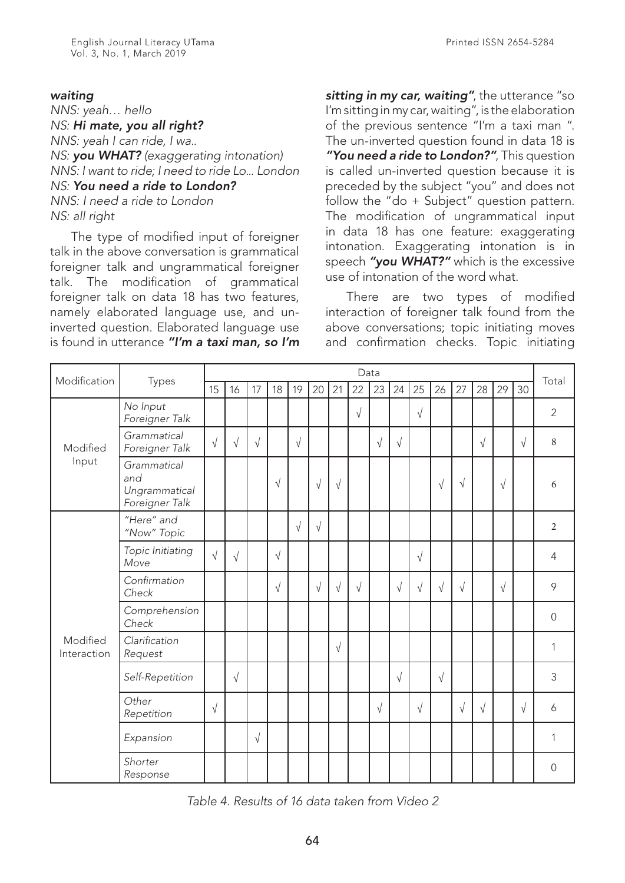*NNS: yeah… hello NS: Hi mate, you all right? NNS: yeah I can ride, I wa.. NS: you WHAT? (exaggerating intonation) NNS: I want to ride; I need to ride Lo... London NS: You need a ride to London? NNS: I need a ride to London NS: all right*

The type of modified input of foreigner talk in the above conversation is grammatical foreigner talk and ungrammatical foreigner talk. The modification of grammatical foreigner talk on data 18 has two features, namely elaborated language use, and uninverted question. Elaborated language use is found in utterance *"I'm a taxi man, so I'm* 

*sitting in my car, waiting"*, the utterance "so I'm sitting in my car, waiting", is the elaboration of the previous sentence "I'm a taxi man ". The un-inverted question found in data 18 is *"You need a ride to London?"*, This question is called un-inverted question because it is preceded by the subject "you" and does not follow the "do + Subject" question pattern. The modification of ungrammatical input in data 18 has one feature: exaggerating intonation. Exaggerating intonation is in speech *"you WHAT?"* which is the excessive use of intonation of the word what.

There are two types of modified interaction of foreigner talk found from the above conversations; topic initiating moves and confirmation checks. Topic initiating

|                         | Types                                                 | Data      |            |            |           |           |            |            |            |           |            |            |            |            |            |            |           |                |
|-------------------------|-------------------------------------------------------|-----------|------------|------------|-----------|-----------|------------|------------|------------|-----------|------------|------------|------------|------------|------------|------------|-----------|----------------|
| Modification            |                                                       | 15        | 16         | 17         | 18        | 19        | 20         | 21         | 22         | 23        | 24         | 25         | 26         | 27         | 28         | 29         | 30        | Total          |
|                         | No Input<br>Foreigner Talk                            |           |            |            |           |           |            |            | $\sqrt{}$  |           |            | $\sqrt{}$  |            |            |            |            |           | $\overline{2}$ |
| Modified                | Grammatical<br>Foreigner Talk                         | $\sqrt{}$ | $\sqrt{}$  | $\sqrt{ }$ |           | $\sqrt{}$ |            |            |            | $\sqrt{}$ | $\sqrt{ }$ |            |            |            | $\sqrt{ }$ |            | $\sqrt{}$ | 8              |
| Input                   | Grammatical<br>and<br>Ungrammatical<br>Foreigner Talk |           |            |            | $\sqrt{}$ |           | $\sqrt{}$  | $\sqrt{ }$ |            |           |            |            | $\sqrt{}$  | $\sqrt{ }$ |            | $\sqrt{}$  |           | 6              |
|                         | "Here" and<br>"Now" Topic                             |           |            |            |           | $\sqrt{}$ | $\sqrt{}$  |            |            |           |            |            |            |            |            |            |           | $\overline{2}$ |
|                         | Topic Initiating<br>Move                              | $\sqrt{}$ | $\sqrt{}$  |            | $\sqrt{}$ |           |            |            |            |           |            | $\sqrt{}$  |            |            |            |            |           | $\overline{4}$ |
|                         | Confirmation<br>Check                                 |           |            |            | $\sqrt{}$ |           | $\sqrt{ }$ | $\sqrt{ }$ | $\sqrt{ }$ |           | $\sqrt{ }$ | $\sqrt{}$  | $\sqrt{ }$ | $\sqrt{ }$ |            | $\sqrt{ }$ |           | 9              |
|                         | Comprehension<br>Check                                |           |            |            |           |           |            |            |            |           |            |            |            |            |            |            |           | $\mathbf 0$    |
| Modified<br>Interaction | Clarification<br>Request                              |           |            |            |           |           |            | $\sqrt{ }$ |            |           |            |            |            |            |            |            |           | 1              |
|                         | Self-Repetition                                       |           | $\sqrt{ }$ |            |           |           |            |            |            |           | $\sqrt{}$  |            | $\sqrt{}$  |            |            |            |           | 3              |
|                         | Other<br>Repetition                                   | $\sqrt{}$ |            |            |           |           |            |            |            | $\sqrt{}$ |            | $\sqrt{ }$ |            | $\sqrt{}$  | $\sqrt{ }$ |            | $\sqrt{}$ | 6              |
|                         | Expansion                                             |           |            | $\sqrt{ }$ |           |           |            |            |            |           |            |            |            |            |            |            |           | 1              |
|                         | Shorter<br>Response                                   |           |            |            |           |           |            |            |            |           |            |            |            |            |            |            |           | $\overline{0}$ |

*Table 4. Results of 16 data taken from Video 2*